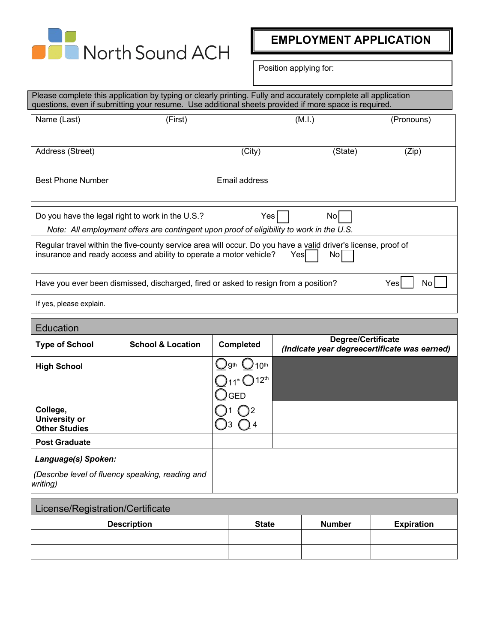

**EMPLOYMENT APPLICATION**

Position applying for:

| Please complete this application by typing or clearly printing. Fully and accurately complete all application<br>questions, even if submitting your resume. Use additional sheets provided if more space is required. |                                                                                                                                              |                             |                                                                                                                            |            |
|-----------------------------------------------------------------------------------------------------------------------------------------------------------------------------------------------------------------------|----------------------------------------------------------------------------------------------------------------------------------------------|-----------------------------|----------------------------------------------------------------------------------------------------------------------------|------------|
| Name (Last)                                                                                                                                                                                                           | (First)                                                                                                                                      |                             | (M.I.)                                                                                                                     | (Pronouns) |
|                                                                                                                                                                                                                       |                                                                                                                                              |                             |                                                                                                                            |            |
| Address (Street)                                                                                                                                                                                                      |                                                                                                                                              | $\overline{(City)}$         | (State)                                                                                                                    | (Zip)      |
|                                                                                                                                                                                                                       |                                                                                                                                              |                             |                                                                                                                            |            |
| <b>Best Phone Number</b>                                                                                                                                                                                              |                                                                                                                                              | Email address               |                                                                                                                            |            |
|                                                                                                                                                                                                                       | Do you have the legal right to work in the U.S.?<br>Note: All employment offers are contingent upon proof of eligibility to work in the U.S. | Yes                         | No                                                                                                                         |            |
|                                                                                                                                                                                                                       | insurance and ready access and ability to operate a motor vehicle?                                                                           |                             | Regular travel within the five-county service area will occur. Do you have a valid driver's license, proof of<br>Yes<br>No |            |
|                                                                                                                                                                                                                       | Have you ever been dismissed, discharged, fired or asked to resign from a position?                                                          |                             |                                                                                                                            | Yes<br>No  |
| If yes, please explain.                                                                                                                                                                                               |                                                                                                                                              |                             |                                                                                                                            |            |
| Education                                                                                                                                                                                                             |                                                                                                                                              |                             |                                                                                                                            |            |
| <b>Type of School</b>                                                                                                                                                                                                 | <b>School &amp; Location</b>                                                                                                                 | Completed                   | <b>Degree/Certificate</b><br>(Indicate year degreecertificate was earned)                                                  |            |
| <b>High School</b>                                                                                                                                                                                                    |                                                                                                                                              | gth<br>10 <sup>th</sup>     |                                                                                                                            |            |
|                                                                                                                                                                                                                       |                                                                                                                                              | $\bigcirc$ 12 <sup>th</sup> |                                                                                                                            |            |
|                                                                                                                                                                                                                       |                                                                                                                                              | <b>GED</b>                  |                                                                                                                            |            |
| College,<br><b>University or</b><br><b>Other Studies</b>                                                                                                                                                              |                                                                                                                                              |                             |                                                                                                                            |            |
| <b>Post Graduate</b>                                                                                                                                                                                                  |                                                                                                                                              |                             |                                                                                                                            |            |
| Language(s) Spoken:                                                                                                                                                                                                   |                                                                                                                                              |                             |                                                                                                                            |            |
| writing)                                                                                                                                                                                                              | (Describe level of fluency speaking, reading and                                                                                             |                             |                                                                                                                            |            |
|                                                                                                                                                                                                                       |                                                                                                                                              |                             |                                                                                                                            |            |

| License/Registration/Certificate |              |               |                   |
|----------------------------------|--------------|---------------|-------------------|
| <b>Description</b>               | <b>State</b> | <b>Number</b> | <b>Expiration</b> |
|                                  |              |               |                   |
|                                  |              |               |                   |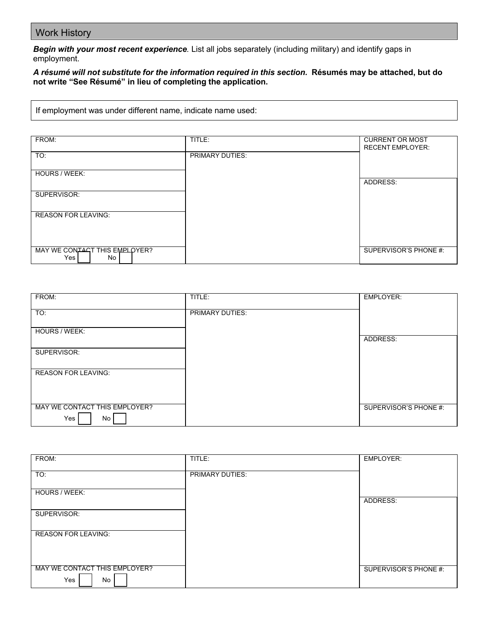## Work History

*Begin with your most recent experience.* List all jobs separately (including military) and identify gaps in employment.

## A résumé will not substitute for the information required in this section. Résumés may be attached, but do **not write "See Résumé" in lieu of completing the application.**

If employment was under different name, indicate name used:

| FROM:                         | TITLE:                 | <b>CURRENT OR MOST</b>  |
|-------------------------------|------------------------|-------------------------|
|                               |                        |                         |
|                               |                        | <b>RECENT EMPLOYER:</b> |
| TO:                           | <b>PRIMARY DUTIES:</b> |                         |
|                               |                        |                         |
|                               |                        |                         |
| HOURS / WEEK:                 |                        |                         |
|                               |                        |                         |
|                               |                        | ADDRESS:                |
|                               |                        |                         |
| SUPERVISOR:                   |                        |                         |
|                               |                        |                         |
|                               |                        |                         |
|                               |                        |                         |
| <b>REASON FOR LEAVING:</b>    |                        |                         |
|                               |                        |                         |
|                               |                        |                         |
|                               |                        |                         |
|                               |                        |                         |
|                               |                        |                         |
|                               |                        |                         |
| MAY WE CONTACT THIS EMPLOYER? |                        | SUPERVISOR'S PHONE #:   |
| Yes<br>No                     |                        |                         |
|                               |                        |                         |

| FROM:                         | TITLE:          | <b>EMPLOYER:</b>      |
|-------------------------------|-----------------|-----------------------|
|                               |                 |                       |
|                               |                 |                       |
| TO:                           | PRIMARY DUTIES: |                       |
|                               |                 |                       |
| HOURS / WEEK:                 |                 |                       |
|                               |                 | ADDRESS:              |
|                               |                 |                       |
| SUPERVISOR:                   |                 |                       |
|                               |                 |                       |
|                               |                 |                       |
| <b>REASON FOR LEAVING:</b>    |                 |                       |
|                               |                 |                       |
|                               |                 |                       |
|                               |                 |                       |
|                               |                 |                       |
| MAY WE CONTACT THIS EMPLOYER? |                 | SUPERVISOR'S PHONE #: |
| Yes<br>No                     |                 |                       |
|                               |                 |                       |

| FROM:                         | TITLE:          | <b>EMPLOYER:</b>      |
|-------------------------------|-----------------|-----------------------|
|                               |                 |                       |
|                               |                 |                       |
| TO:                           | PRIMARY DUTIES: |                       |
|                               |                 |                       |
|                               |                 |                       |
| HOURS / WEEK:                 |                 |                       |
|                               |                 |                       |
|                               |                 | ADDRESS:              |
|                               |                 |                       |
| SUPERVISOR:                   |                 |                       |
|                               |                 |                       |
|                               |                 |                       |
|                               |                 |                       |
| <b>REASON FOR LEAVING:</b>    |                 |                       |
|                               |                 |                       |
|                               |                 |                       |
|                               |                 |                       |
|                               |                 |                       |
|                               |                 |                       |
| MAY WE CONTACT THIS EMPLOYER? |                 | SUPERVISOR'S PHONE #: |
|                               |                 |                       |
| Yes<br>No                     |                 |                       |
|                               |                 |                       |
|                               |                 |                       |